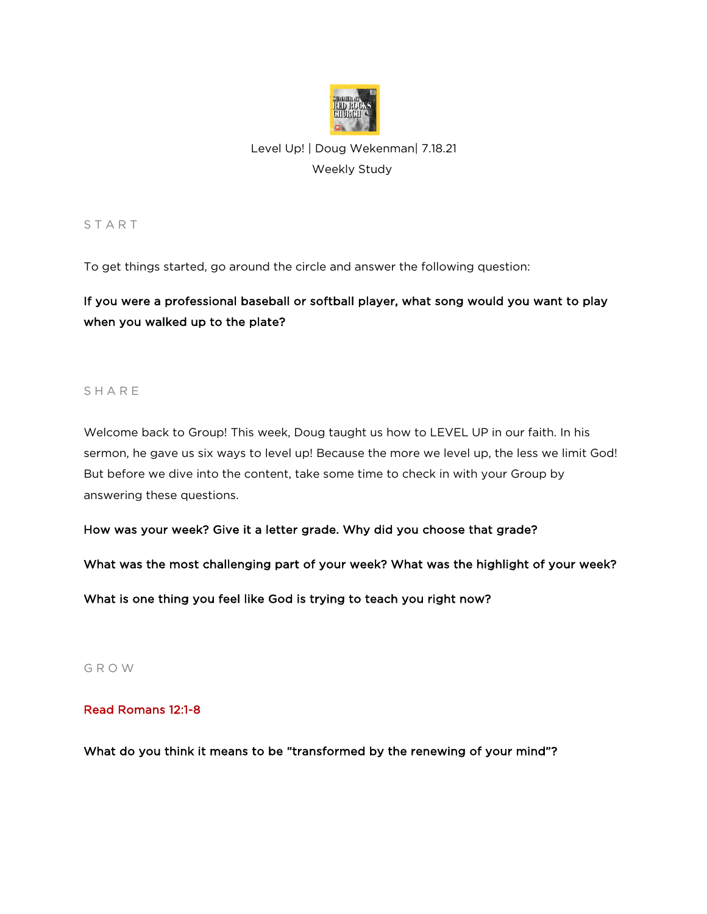

# Level Up! | Doug Wekenman| 7.18.21 Weekly Study

**START** 

To get things started, go around the circle and answer the following question:

If you were a professional baseball or softball player, what song would you want to play when you walked up to the plate?

### **SHARE**

Welcome back to Group! This week, Doug taught us how to LEVEL UP in our faith. In his sermon, he gave us six ways to level up! Because the more we level up, the less we limit God! But before we dive into the content, take some time to check in with your Group by answering these questions.

How was your week? Give it a letter grade. Why did you choose that grade?

What was the most challenging part of your week? What was the highlight of your week?

What is one thing you feel like God is trying to teach you right now?

G R O W

### Read Romans 12:1-8

What do you think it means to be "transformed by the renewing of your mind"?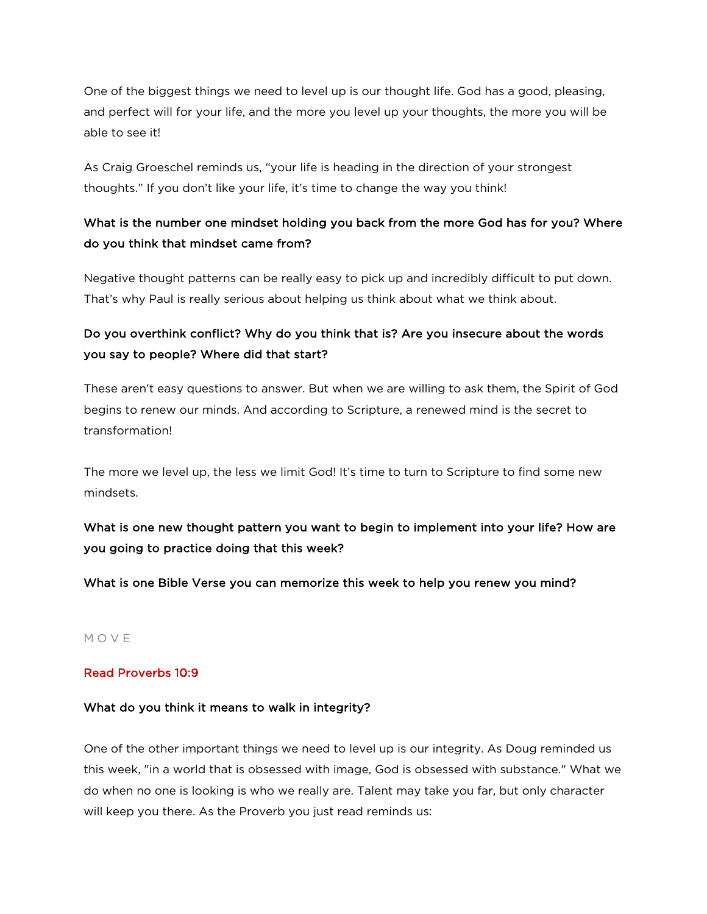One of the biggest things we need to level up is our thought life. God has a good, pleasing, and perfect will for your life, and the more you level up your thoughts, the more you will be able to see it!

As Craig Groeschel reminds us, "your life is heading in the direction of your strongest thoughts." If you don't like your life, it's time to change the way you think!

### What is the number one mindset holding you back from the more God has for you? Where do you think that mindset came from?

Negative thought patterns can be really easy to pick up and incredibly difficult to put down. That's why Paul is really serious about helping us think about what we think about.

# Do you overthink conflict? Why do you think that is? Are you insecure about the words you say to people? Where did that start?

These aren't easy questions to answer. But when we are willing to ask them, the Spirit of God begins to renew our minds. And according to Scripture, a renewed mind is the secret to transformation!

The more we level up, the less we limit God! It's time to turn to Scripture to find some new mindsets.

# What is one new thought pattern you want to begin to implement into your life? How are you going to practice doing that this week?

What is one Bible Verse you can memorize this week to help you renew you mind?

#### M O V E

### Read Proverbs 10:9

#### What do you think it means to walk in integrity?

One of the other important things we need to level up is our integrity. As Doug reminded us this week, "in a world that is obsessed with image, God is obsessed with substance." What we do when no one is looking is who we really are. Talent may take you far, but only character will keep you there. As the Proverb you just read reminds us: